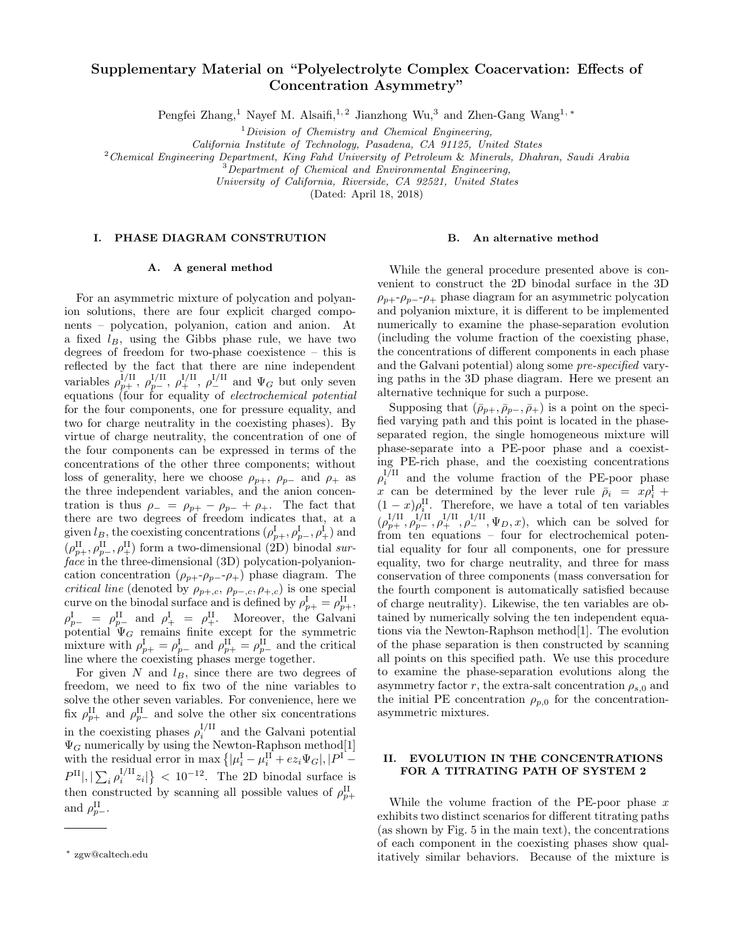# Supplementary Material on "Polyelectrolyte Complex Coacervation: Effects of Concentration Asymmetry"

Pengfei Zhang,<sup>1</sup> Nayef M. Alsaifi,<sup>1,2</sup> Jianzhong Wu,<sup>3</sup> and Zhen-Gang Wang<sup>1,\*</sup>

 $1$ Division of Chemistry and Chemical Engineering,

California Institute of Technology, Pasadena, CA 91125, United States

 $2$ Chemical Engineering Department, King Fahd University of Petroleum & Minerals, Dhahran, Saudi Arabia

<sup>3</sup>Department of Chemical and Environmental Engineering,

University of California, Riverside, CA 92521, United States

(Dated: April 18, 2018)

#### I. PHASE DIAGRAM CONSTRUTION

### B. An alternative method

## A. A general method

For an asymmetric mixture of polycation and polyanion solutions, there are four explicit charged components – polycation, polyanion, cation and anion. At a fixed  $l_B$ , using the Gibbs phase rule, we have two degrees of freedom for two-phase coexistence – this is reflected by the fact that there are nine independent variables  $\rho_{p+}^{I/II}$ ,  $\rho_{p-}^{I/II}$ ,  $\rho_{+}^{I/II}$ ,  $\rho_{-}^{I/II}$  and  $\Psi_G$  but only seven equations (four for equality of *electrochemical potential* for the four components, one for pressure equality, and two for charge neutrality in the coexisting phases). By virtue of charge neutrality, the concentration of one of the four components can be expressed in terms of the concentrations of the other three components; without loss of generality, here we choose  $\rho_{p+}$ ,  $\rho_{p-}$  and  $\rho_{+}$  as the three independent variables, and the anion concentration is thus  $\rho_- = \rho_{p+} - \rho_{p-} + \rho_+$ . The fact that there are two degrees of freedom indicates that, at a given  $l_B$ , the coexisting concentrations  $(\rho_{p+}^{\text{I}}, \rho_{p-}^{\text{I}}, \rho_{+}^{\text{I}})$  and  $(\rho_{p+}^{\rm II}, \rho_{p-}^{\rm II}, \rho_{+}^{\rm II})$  form a two-dimensional (2D) binodal surface in the three-dimensional (3D) polycation-polyanioncation concentration  $(\rho_{p+1}, \rho_{p-2}, \rho_+)$  phase diagram. The *critical line* (denoted by  $\rho_{p+,c}, \rho_{p-,c}, \rho_{+,c}$ ) is one special curve on the binodal surface and is defined by  $\rho_{p+}^{\text{I}} = \rho_{p+}^{\text{II}}$ ,  $\rho_{p-}^{\text{I}} = \rho_{p-}^{\text{II}}$  and  $\rho_{+}^{\text{I}} = \rho_{+}^{\text{II}}$ . Moreover, the Galvani potential  $\Psi_G$  remains finite except for the symmetric mixture with  $\rho_{p+}^{\text{I}} = \rho_{p-}^{\text{I}}$  and  $\rho_{p+}^{\text{II}} = \rho_{p-}^{\text{II}}$  and the critical line where the coexisting phases merge together.

For given  $N$  and  $l_B$ , since there are two degrees of freedom, we need to fix two of the nine variables to solve the other seven variables. For convenience, here we fix  $\rho_{p+}^{\text{II}}$  and  $\rho_{p-}^{\text{II}}$  and solve the other six concentrations in the coexisting phases  $\rho_i^{I/II}$  and the Galvani potential  $\Psi_G$  numerically by using the Newton-Raphson method<sup>[1]</sup> with the residual error in max  $\left\{ \left| \mu_i^{\text{I}} - \mu_i^{\text{II}} + e z_i \Psi_G \right|, \left| P^{\text{I}} - \right| \right\}$  $P^{II}|, |\sum_i \rho_i^{I/II} z_i|$  < 10<sup>-12</sup>. The 2D binodal surface is then constructed by scanning all possible values of  $\rho_{p+}^{\text{II}}$ and  $\rho_{p-}^{\text{II}}$ .

While the general procedure presented above is convenient to construct the 2D binodal surface in the 3D  $\rho_{p+1}$ - $\rho_{p-1}$  phase diagram for an asymmetric polycation and polyanion mixture, it is different to be implemented numerically to examine the phase-separation evolution (including the volume fraction of the coexisting phase, the concentrations of different components in each phase and the Galvani potential) along some pre-specified varying paths in the 3D phase diagram. Here we present an alternative technique for such a purpose.

Supposing that  $(\bar{\rho}_{p+}, \bar{\rho}_{p-}, \bar{\rho}_{+})$  is a point on the specified varying path and this point is located in the phaseseparated region, the single homogeneous mixture will phase-separate into a PE-poor phase and a coexisting PE-rich phase, and the coexisting concentrations  $\rho_i^{I/II}$  and the volume fraction of the PE-poor phase x can be determined by the lever rule  $\bar{\rho}_i = x \rho_i^{\mathrm{I}} +$  $(1-x)\rho_i^{\text{II}}$ . Therefore, we have a total of ten variables  $(\rho_{p+}^{I/II}, \rho_{p-}^{I/II}, \rho_{+}^{I/II}, \rho_{-}^{I/II}, \Psi_D, x)$ , which can be solved for from ten equations – four for electrochemical potential equality for four all components, one for pressure equality, two for charge neutrality, and three for mass conservation of three components (mass conversation for the fourth component is automatically satisfied because of charge neutrality). Likewise, the ten variables are obtained by numerically solving the ten independent equations via the Newton-Raphson method[1]. The evolution of the phase separation is then constructed by scanning all points on this specified path. We use this procedure to examine the phase-separation evolutions along the asymmetry factor r, the extra-salt concentration  $\rho_{s,0}$  and the initial PE concentration  $\rho_{p,0}$  for the concentrationasymmetric mixtures.

# II. EVOLUTION IN THE CONCENTRATIONS FOR A TITRATING PATH OF SYSTEM 2

While the volume fraction of the PE-poor phase  $x$ exhibits two distinct scenarios for different titrating paths (as shown by Fig. 5 in the main text), the concentrations of each component in the coexisting phases show qualitatively similar behaviors. Because of the mixture is

<sup>∗</sup> zgw@caltech.edu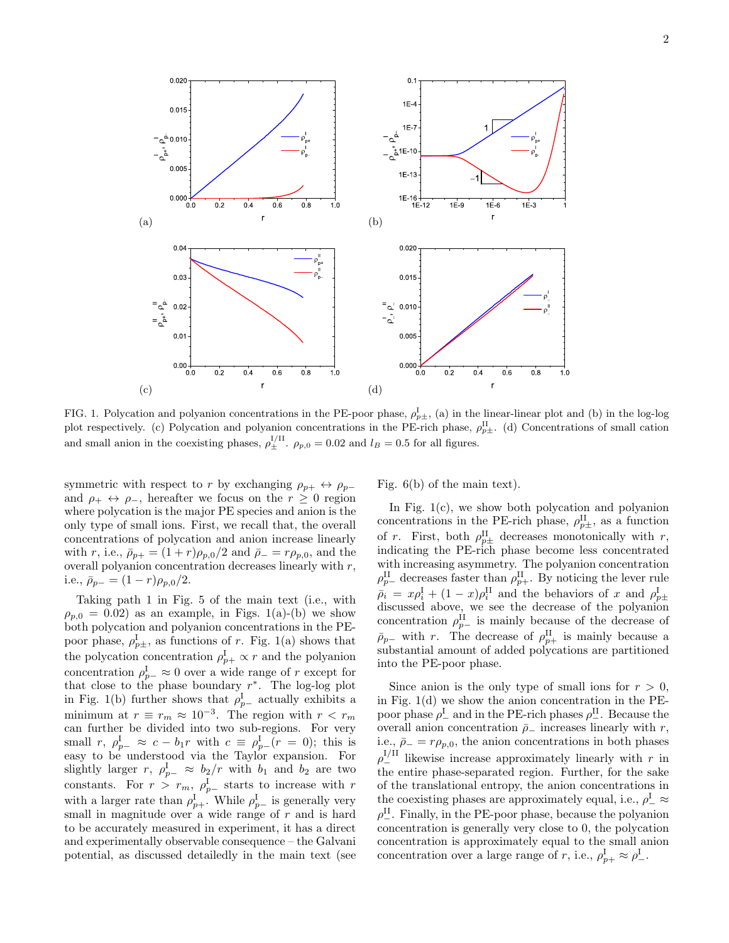

2

FIG. 1. Polycation and polyanion concentrations in the PE-poor phase,  $\rho_{p\pm}^{\rm I}$ , (a) in the linear-linear plot and (b) in the log-log plot respectively. (c) Polycation and polyanion concentrations in the PE-rich phase,  $\rho_{p\pm}^{\text{II}}$ . (d) Concentrations of small cation and small anion in the coexisting phases,  $\rho_{\pm}^{I/II}$ .  $\rho_{p,0} = 0.02$  and  $l_B = 0.5$  for all figures.

symmetric with respect to r by exchanging  $\rho_{p+} \leftrightarrow \rho_{p-}$ and  $\rho_+ \leftrightarrow \rho_-,$  hereafter we focus on the  $r \geq 0$  region where polycation is the major PE species and anion is the only type of small ions. First, we recall that, the overall concentrations of polycation and anion increase linearly with r, i.e.,  $\bar{\rho}_{p+} = (1+r)\rho_{p,0}/2$  and  $\bar{\rho}_{-} = r\rho_{p,0}$ , and the overall polyanion concentration decreases linearly with  $r$ , i.e.,  $\bar{\rho}_{p-} = (1 - r)\rho_{p,0}/2$ .

Taking path 1 in Fig. 5 of the main text (i.e., with  $\rho_{p,0} = 0.02$ ) as an example, in Figs. 1(a)-(b) we show both polycation and polyanion concentrations in the PEpoor phase,  $\rho_{p\pm}^{\rm I}$ , as functions of r. Fig. 1(a) shows that the polycation concentration  $\rho_{p+}^{\text{I}} \propto r$  and the polyanion concentration  $\rho_{p-}^{\rm I} \approx 0$  over a wide range of r except for that close to the phase boundary  $r^*$ . The log-log plot in Fig. 1(b) further shows that  $\rho_{p-}^{\rm I}$  actually exhibits a minimum at  $r \equiv r_m \approx 10^{-3}$ . The region with  $r < r_m$ can further be divided into two sub-regions. For very small  $r, \rho_{p-}^{\text{I}} \approx c - b_1 r$  with  $c \equiv \rho_{p-}^{\text{I}}(r = 0)$ ; this is easy to be understood via the Taylor expansion. For slightly larger r,  $\rho_{p-}^{\text{I}} \approx b_2/r$  with  $b_1$  and  $b_2$  are two constants. For  $r > r_m$ ,  $\rho_{p-}^{\rm I}$  starts to increase with r with a larger rate than  $\rho_{p+}^{\text{I}}$ . While  $\rho_{p-}^{\text{I}}$  is generally very small in magnitude over a wide range of  $r$  and is hard to be accurately measured in experiment, it has a direct and experimentally observable consequence – the Galvani potential, as discussed detailedly in the main text (see Fig. 6(b) of the main text).

In Fig. 1(c), we show both polycation and polyanion concentrations in the PE-rich phase,  $\rho_{p\pm}^{\text{II}}$ , as a function of r. First, both  $\rho_{p\pm}^{\text{II}}$  decreases monotonically with r, indicating the PE-rich phase become less concentrated with increasing asymmetry. The polyanion concentration  $\rho_{p-}^{\text{II}}$  decreases faster than  $\rho_{p+}^{\text{II}}$ . By noticing the lever rule  $\bar{\rho}_i = x \rho_i^{\text{I}} + (1-x) \rho_i^{\text{II}}$  and the behaviors of x and  $\rho_{p\pm}^{\text{I}}$ discussed above, we see the decrease of the polyanion concentration  $\rho_{p-}^{\text{II}}$  is mainly because of the decrease of  $\bar{\rho}_{p-}$  with r. The decrease of  $\rho_{p+}^{\text{II}}$  is mainly because a substantial amount of added polycations are partitioned into the PE-poor phase.

Since anion is the only type of small ions for  $r > 0$ , in Fig. 1(d) we show the anion concentration in the PEpoor phase  $\rho_-^{\rm I}$  and in the PE-rich phases  $\rho_-^{\rm II}$ . Because the overall anion concentration  $\bar{p}_-$  increases linearly with r, i.e.,  $\bar{\rho}_{-} = r \rho_{p,0}$ , the anion concentrations in both phases  $\rho_-^{I/II}$  likewise increase approximately linearly with r in the entire phase-separated region. Further, for the sake of the translational entropy, the anion concentrations in the coexisting phases are approximately equal, i.e.,  $\rho_-^{\rm I}\approx$  $\rho^{\rm II}_{-}$ . Finally, in the PE-poor phase, because the polyanion concentration is generally very close to 0, the polycation concentration is approximately equal to the small anion concentration over a large range of r, i.e.,  $\rho_{p+}^{\text{I}} \approx \rho_{-}^{\text{I}}$ .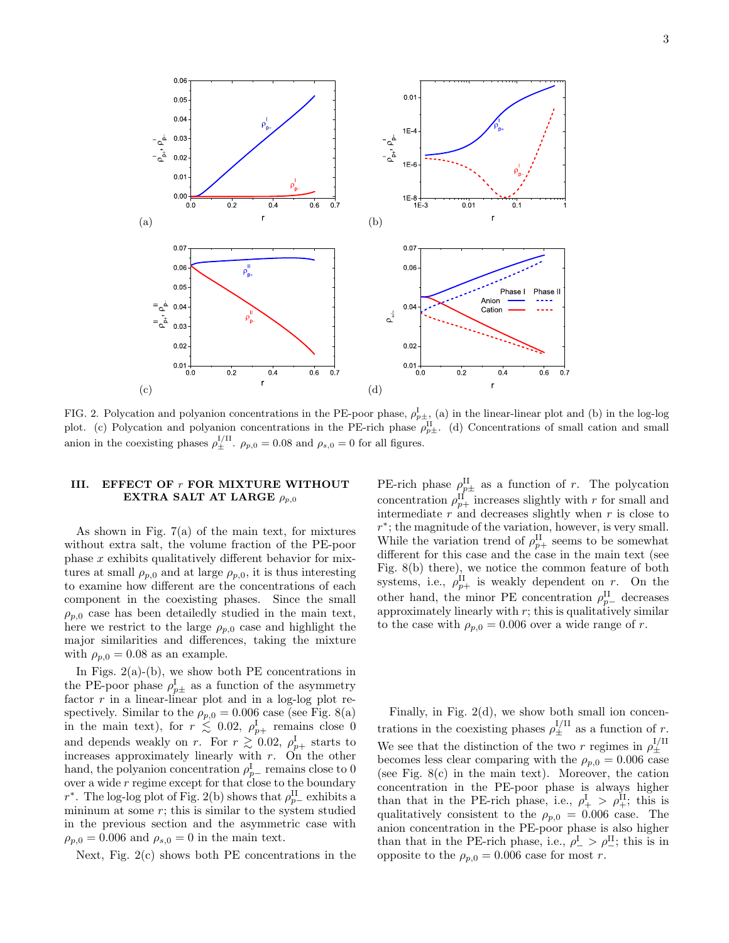

3



FIG. 2. Polycation and polyanion concentrations in the PE-poor phase,  $\rho_{p\pm}^{\rm I}$ , (a) in the linear-linear plot and (b) in the log-log plot. (c) Polycation and polyanion concentrations in the PE-rich phase  $\rho_{p\pm}^{\text{II}}$ . (d) Concentrations of small cation and small anion in the coexisting phases  $\rho_{\pm}^{I/II}$ .  $\rho_{p,0} = 0.08$  and  $\rho_{s,0} = 0$  for all figures.

## III. EFFECT OF r FOR MIXTURE WITHOUT EXTRA SALT AT LARGE  $\rho_{p,0}$

As shown in Fig. 7(a) of the main text, for mixtures without extra salt, the volume fraction of the PE-poor phase  $x$  exhibits qualitatively different behavior for mixtures at small  $\rho_{p,0}$  and at large  $\rho_{p,0}$ , it is thus interesting to examine how different are the concentrations of each component in the coexisting phases. Since the small  $\rho_{p,0}$  case has been detailedly studied in the main text, here we restrict to the large  $\rho_{p,0}$  case and highlight the major similarities and differences, taking the mixture with  $\rho_{p,0} = 0.08$  as an example.

In Figs.  $2(a)$ -(b), we show both PE concentrations in the PE-poor phase  $\rho_{p\pm}^{\rm I}$  as a function of the asymmetry factor  $r$  in a linear-linear plot and in a log-log plot respectively. Similar to the  $\rho_{p,0} = 0.006$  case (see Fig. 8(a) in the main text), for  $r \lesssim 0.02$ ,  $\rho_{p+}^{\text{I}}$  remains close 0 and depends weakly on r. For  $r \gtrsim 0.02$ ,  $\rho_{p+}^{\rm I}$  starts to increases approximately linearly with r. On the other hand, the polyanion concentration  $\rho_{p-}^{\text{I}}$  remains close to 0 over a wide  $r$  regime except for that close to the boundary r<sup>\*</sup>. The log-log plot of Fig. 2(b) shows that  $\rho_{p-}^{\text{II}}$  exhibits a minimum at some  $r$ ; this is similar to the system studied in the previous section and the asymmetric case with  $\rho_{p,0} = 0.006$  and  $\rho_{s,0} = 0$  in the main text.

Next, Fig. 2(c) shows both PE concentrations in the

PE-rich phase  $\rho_{p\pm}^{\text{II}}$  as a function of r. The polycation concentration  $\rho_{p+}^{\text{II}}$  increases slightly with r for small and intermediate  $r$  and decreases slightly when  $r$  is close to r ∗ ; the magnitude of the variation, however, is very small. While the variation trend of  $\rho_{p+}^{\text{II}}$  seems to be somewhat different for this case and the case in the main text (see Fig. 8(b) there), we notice the common feature of both systems, i.e.,  $\rho_{p+}^{\text{II}}$  is weakly dependent on r. On the other hand, the minor PE concentration  $\rho_{p-}^{\text{II}}$  decreases approximately linearly with  $r$ ; this is qualitatively similar to the case with  $\rho_{p,0} = 0.006$  over a wide range of r.

Finally, in Fig. 2(d), we show both small ion concentrations in the coexisting phases  $\rho_{\pm}^{I/II}$  as a function of r. We see that the distinction of the two r regimes in  $\rho_{\pm}^{I/II}$ becomes less clear comparing with the  $\rho_{p,0} = 0.006$  case (see Fig. 8(c) in the main text). Moreover, the cation concentration in the PE-poor phase is always higher than that in the PE-rich phase, i.e.,  $\rho_+^{\rm I} > \rho_+^{\rm II}$ ; this is qualitatively consistent to the  $\rho_{p,0} = 0.006$  case. The anion concentration in the PE-poor phase is also higher than that in the PE-rich phase, i.e.,  $\rho_-^{\rm I} > \rho_-^{\rm II}$ ; this is in opposite to the  $\rho_{p,0} = 0.006$  case for most r.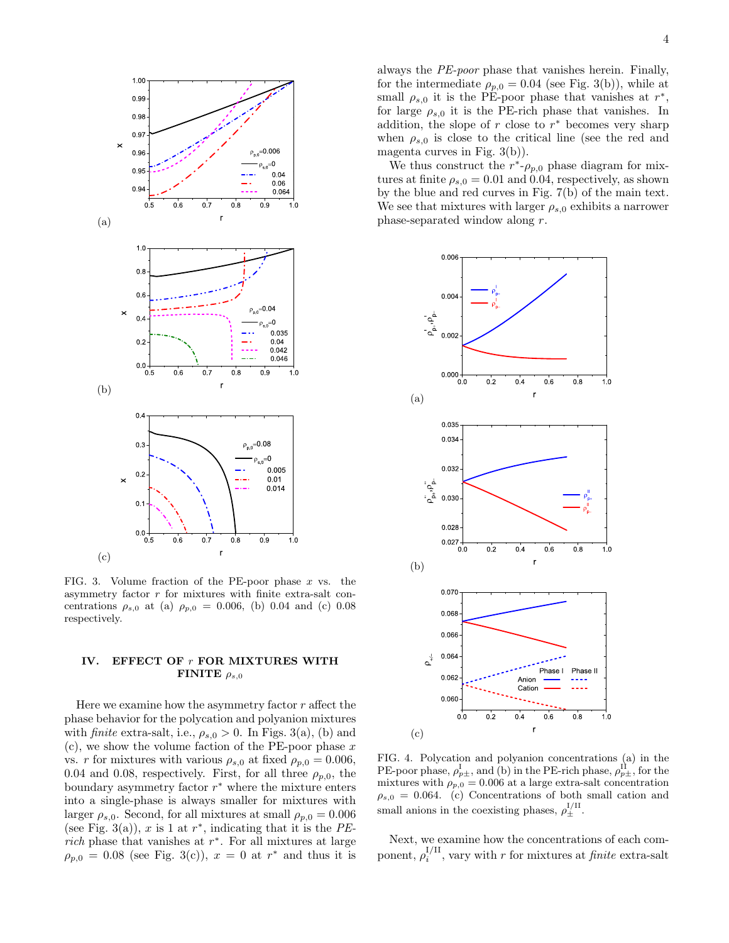

FIG. 3. Volume fraction of the PE-poor phase  $x$  vs. the asymmetry factor r for mixtures with finite extra-salt concentrations  $\rho_{s,0}$  at (a)  $\rho_{p,0} = 0.006$ , (b) 0.04 and (c) 0.08 respectively.

## IV. EFFECT OF r FOR MIXTURES WITH FINITE  $\rho_{s,0}$

Here we examine how the asymmetry factor  $r$  affect the phase behavior for the polycation and polyanion mixtures with finite extra-salt, i.e.,  $\rho_{s,0} > 0$ . In Figs. 3(a), (b) and  $(c)$ , we show the volume faction of the PE-poor phase x vs. r for mixtures with various  $\rho_{s,0}$  at fixed  $\rho_{p,0} = 0.006$ , 0.04 and 0.08, respectively. First, for all three  $\rho_{n,0}$ , the boundary asymmetry factor  $r^*$  where the mixture enters into a single-phase is always smaller for mixtures with larger  $\rho_{s,0}$ . Second, for all mixtures at small  $\rho_{p,0} = 0.006$ (see Fig. 3(a)), x is 1 at  $r^*$ , indicating that it is the PErich phase that vanishes at  $r^*$ . For all mixtures at large  $\rho_{p,0} = 0.08$  (see Fig. 3(c)),  $x = 0$  at  $r^*$  and thus it is

always the PE-poor phase that vanishes herein. Finally, for the intermediate  $\rho_{p,0} = 0.04$  (see Fig. 3(b)), while at small  $\rho_{s,0}$  it is the PE-poor phase that vanishes at  $r^*$ , for large  $\rho_{s,0}$  it is the PE-rich phase that vanishes. In addition, the slope of  $r$  close to  $r^*$  becomes very sharp when  $\rho_{s,0}$  is close to the critical line (see the red and magenta curves in Fig. 3(b)).

We thus construct the  $r^*$ - $\rho_{p,0}$  phase diagram for mixtures at finite  $\rho_{s,0} = 0.01$  and 0.04, respectively, as shown by the blue and red curves in Fig. 7(b) of the main text. We see that mixtures with larger  $\rho_{s,0}$  exhibits a narrower phase-separated window along r.



FIG. 4. Polycation and polyanion concentrations (a) in the PE-poor phase,  $\rho_{p\pm}^{\rm I}$ , and (b) in the PE-rich phase,  $\rho_{p\pm}^{\rm II}$ , for the mixtures with  $\rho_{p,0} = 0.006$  at a large extra-salt concentration  $\rho_{s,0} = 0.064.$  (c) Concentrations of both small cation and small anions in the coexisting phases,  $\rho_{\pm}^{\text{I/II}}$ .

Next, we examine how the concentrations of each component,  $\rho_i^{\text{I/II}}$ , vary with r for mixtures at *finite* extra-salt